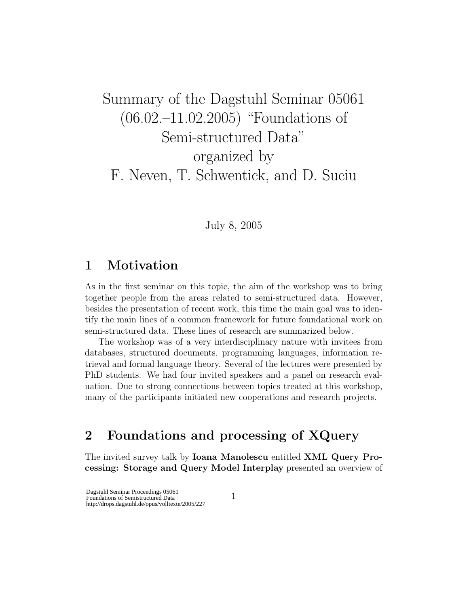# Summary of the Dagstuhl Seminar 05061 (06.02.–11.02.2005) "Foundations of Semi-structured Data" organized by F. Neven, T. Schwentick, and D. Suciu

July 8, 2005

#### 1 Motivation

As in the first seminar on this topic, the aim of the workshop was to bring together people from the areas related to semi-structured data. However, besides the presentation of recent work, this time the main goal was to identify the main lines of a common framework for future foundational work on semi-structured data. These lines of research are summarized below.

The workshop was of a very interdisciplinary nature with invitees from databases, structured documents, programming languages, information retrieval and formal language theory. Several of the lectures were presented by PhD students. We had four invited speakers and a panel on research evaluation. Due to strong connections between topics treated at this workshop, many of the participants initiated new cooperations and research projects.

## 2 Foundations and processing of XQuery

The invited survey talk by Ioana Manolescu entitled XML Query Processing: Storage and Query Model Interplay presented an overview of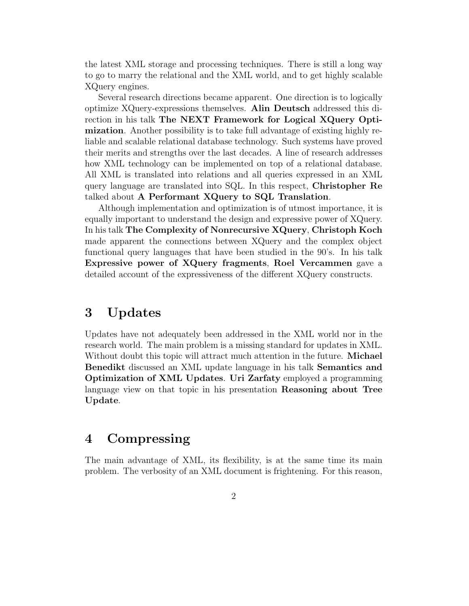the latest XML storage and processing techniques. There is still a long way to go to marry the relational and the XML world, and to get highly scalable XQuery engines.

Several research directions became apparent. One direction is to logically optimize XQuery-expressions themselves. Alin Deutsch addressed this direction in his talk The NEXT Framework for Logical XQuery Optimization. Another possibility is to take full advantage of existing highly reliable and scalable relational database technology. Such systems have proved their merits and strengths over the last decades. A line of research addresses how XML technology can be implemented on top of a relational database. All XML is translated into relations and all queries expressed in an XML query language are translated into SQL. In this respect, Christopher Re talked about A Performant XQuery to SQL Translation.

Although implementation and optimization is of utmost importance, it is equally important to understand the design and expressive power of XQuery. In his talk The Complexity of Nonrecursive XQuery, Christoph Koch made apparent the connections between XQuery and the complex object functional query languages that have been studied in the 90's. In his talk Expressive power of XQuery fragments, Roel Vercammen gave a detailed account of the expressiveness of the different XQuery constructs.

## 3 Updates

Updates have not adequately been addressed in the XML world nor in the research world. The main problem is a missing standard for updates in XML. Without doubt this topic will attract much attention in the future. **Michael** Benedikt discussed an XML update language in his talk Semantics and Optimization of XML Updates. Uri Zarfaty employed a programming language view on that topic in his presentation **Reasoning about Tree** Update.

#### 4 Compressing

The main advantage of XML, its flexibility, is at the same time its main problem. The verbosity of an XML document is frightening. For this reason,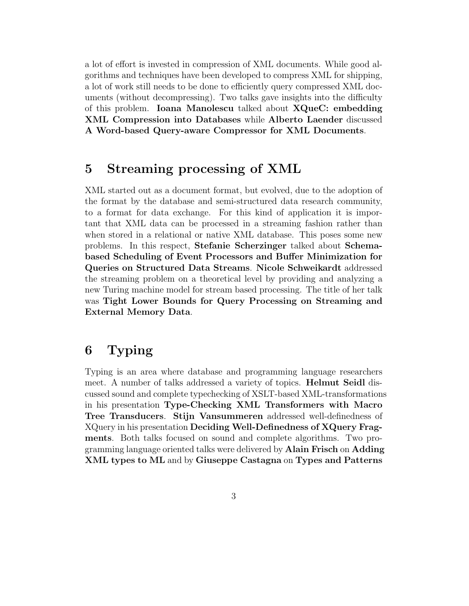a lot of effort is invested in compression of XML documents. While good algorithms and techniques have been developed to compress XML for shipping, a lot of work still needs to be done to efficiently query compressed XML documents (without decompressing). Two talks gave insights into the difficulty of this problem. Ioana Manolescu talked about XQueC: embedding XML Compression into Databases while Alberto Laender discussed A Word-based Query-aware Compressor for XML Documents.

#### 5 Streaming processing of XML

XML started out as a document format, but evolved, due to the adoption of the format by the database and semi-structured data research community, to a format for data exchange. For this kind of application it is important that XML data can be processed in a streaming fashion rather than when stored in a relational or native XML database. This poses some new problems. In this respect, Stefanie Scherzinger talked about Schemabased Scheduling of Event Processors and Buffer Minimization for Queries on Structured Data Streams. Nicole Schweikardt addressed the streaming problem on a theoretical level by providing and analyzing a new Turing machine model for stream based processing. The title of her talk was Tight Lower Bounds for Query Processing on Streaming and External Memory Data.

## 6 Typing

Typing is an area where database and programming language researchers meet. A number of talks addressed a variety of topics. Helmut Seidl discussed sound and complete typechecking of XSLT-based XML-transformations in his presentation Type-Checking XML Transformers with Macro Tree Transducers. Stijn Vansummeren addressed well-definedness of XQuery in his presentation Deciding Well-Definedness of XQuery Fragments. Both talks focused on sound and complete algorithms. Two programming language oriented talks were delivered by Alain Frisch on Adding XML types to ML and by Giuseppe Castagna on Types and Patterns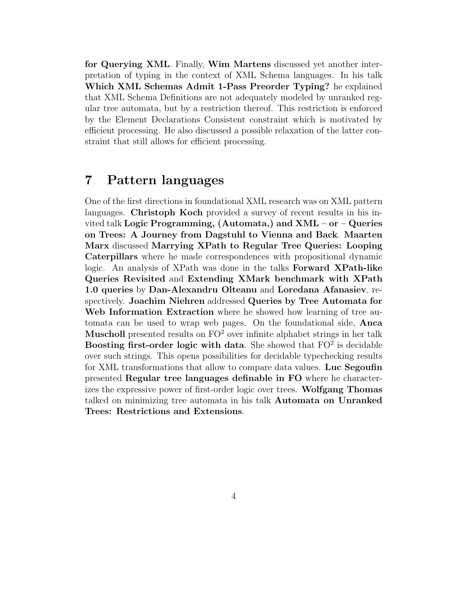for Querying XML. Finally, Wim Martens discussed yet another interpretation of typing in the context of XML Schema languages. In his talk Which XML Schemas Admit 1-Pass Preorder Typing? he explained that XML Schema Definitions are not adequately modeled by unranked regular tree automata, but by a restriction thereof. This restriction is enforced by the Element Declarations Consistent constraint which is motivated by efficient processing. He also discussed a possible relaxation of the latter constraint that still allows for efficient processing.

#### 7 Pattern languages

One of the first directions in foundational XML research was on XML pattern languages. Christoph Koch provided a survey of recent results in his invited talk Logic Programming, (Automata,) and XML – or – Queries on Trees: A Journey from Dagstuhl to Vienna and Back. Maarten Marx discussed Marrying XPath to Regular Tree Queries: Looping Caterpillars where he made correspondences with propositional dynamic logic. An analysis of XPath was done in the talks Forward XPath-like Queries Revisited and Extending XMark benchmark with XPath 1.0 queries by Dan-Alexandru Olteanu and Loredana Afanasiev, respectively. Joachim Niehren addressed Queries by Tree Automata for Web Information Extraction where he showed how learning of tree automata can be used to wrap web pages. On the foundational side, Anca **Muscholl** presented results on  $FO^2$  over infinite alphabet strings in her talk Boosting first-order logic with data. She showed that  $FO^2$  is decidable over such strings. This opens possibilities for decidable typechecking results for XML transformations that allow to compare data values. Luc Segoufin presented Regular tree languages definable in FO where he characterizes the expressive power of first-order logic over trees. Wolfgang Thomas talked on minimizing tree automata in his talk Automata on Unranked Trees: Restrictions and Extensions.